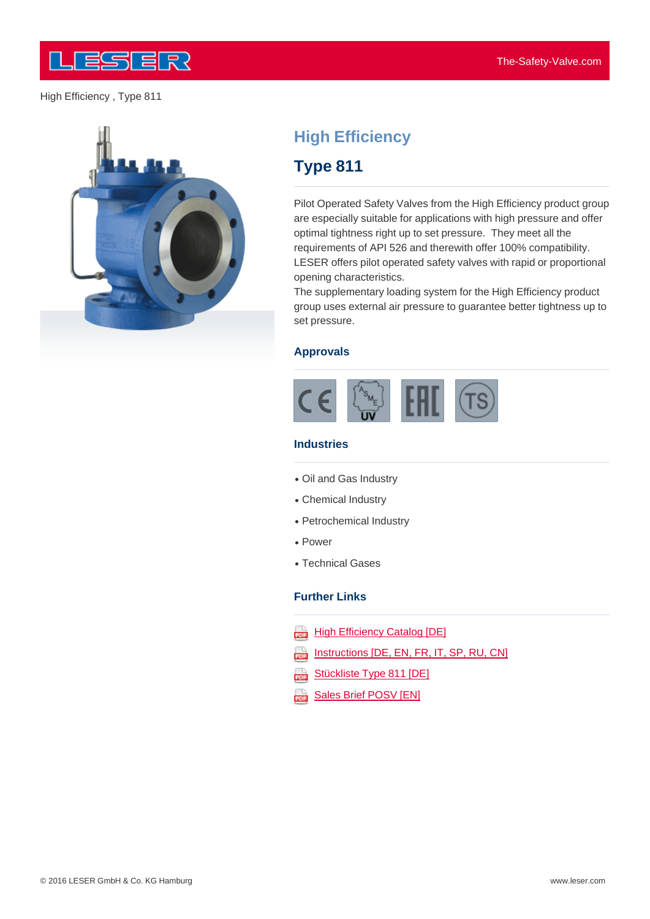



# **High Efficiency**

## **Type 811**

Pilot Operated Safety Valves from the High Efficiency product group are especially suitable for applications with high pressure and offer optimal tightness right up to set pressure. They meet all the requirements of API 526 and therewith offer 100% compatibility. LESER offers pilot operated safety valves with rapid or proportional opening characteristics.

The supplementary loading system for the High Efficiency product group uses external air pressure to guarantee better tightness up to set pressure.

#### **Approvals**



#### **Industries**

- Oil and Gas Industry
- Chemical Industry
- Petrochemical Industry
- Power
- Technical Gases

#### **Further Links**

- **High Efficiency Catalog [DE]**
- Instructions [DE, EN, FR, IT, SP, RU, CN] 202
- Stückliste Type 811 [DE] 203
- aaa [Sales](http://www.leser.com/fileadmin/content/Download/broschueren&kataloge/Kataloge/High Efficiency/High_Efficiency_Catalog_DE.pdf) [Brief](http://www.leser.com/fileadmin/content/Download/broschueren&kataloge/Kataloge/High Efficiency/High_Efficiency_Catalog_DE.pdf) [PO](http://www.leser.com/fileadmin/content/Download/betriebsanleitungen&technische_infos/Betriebsanleitung_DE_EN_FR_IT_SP_RU_CN_2015.pdf)[S](http://www.leser.com/fileadmin/content/Download/broschueren&kataloge/Kataloge/High Efficiency/High_Efficiency_Catalog_DE.pdf)[V](http://www.leser.com/fileadmin/content/Download/betriebsanleitungen&technische_infos/Betriebsanleitung_DE_EN_FR_IT_SP_RU_CN_2015.pdf) [\[EN\]](http://www.leser.com/fileadmin/content/Download/broschueren&kataloge/Kataloge/High Efficiency/High_Efficiency_Catalog_DE.pdf)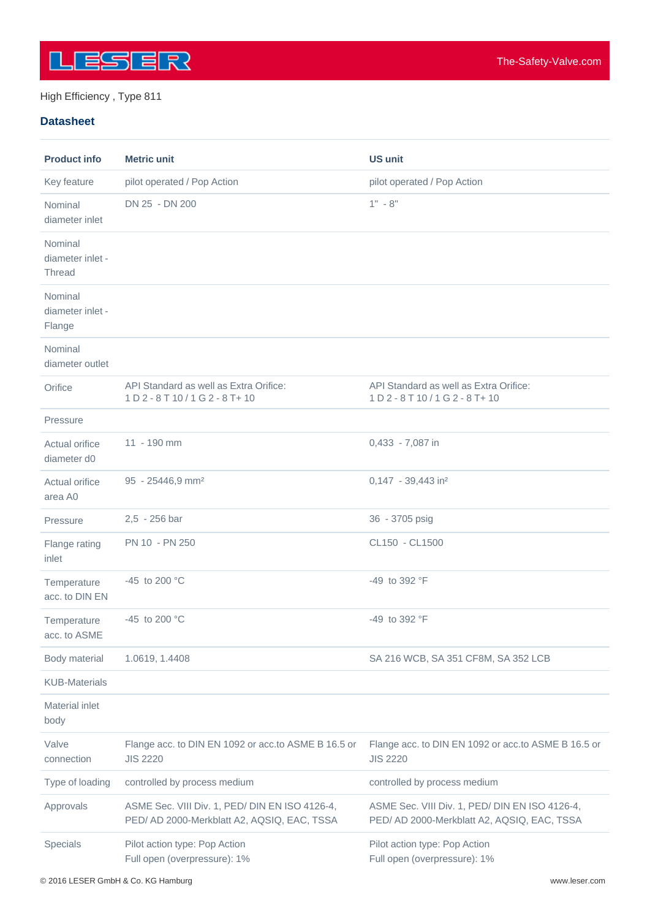

#### **Datasheet**

| <b>Product info</b>                          | <b>Metric unit</b>                                                                            | <b>US unit</b>                                                                                |
|----------------------------------------------|-----------------------------------------------------------------------------------------------|-----------------------------------------------------------------------------------------------|
| Key feature                                  | pilot operated / Pop Action                                                                   | pilot operated / Pop Action                                                                   |
| Nominal<br>diameter inlet                    | DN 25 - DN 200                                                                                | $1" - 8"$                                                                                     |
| Nominal<br>diameter inlet -<br><b>Thread</b> |                                                                                               |                                                                                               |
| Nominal<br>diameter inlet -<br>Flange        |                                                                                               |                                                                                               |
| Nominal<br>diameter outlet                   |                                                                                               |                                                                                               |
| Orifice                                      | API Standard as well as Extra Orifice:<br>1 D 2 - 8 T 10 / 1 G 2 - 8 T + 10                   | API Standard as well as Extra Orifice:<br>1 D 2 - 8 T 10 / 1 G 2 - 8 T + 10                   |
| Pressure                                     |                                                                                               |                                                                                               |
| Actual orifice<br>diameter d0                | 11 - 190 mm                                                                                   | 0,433 - 7,087 in                                                                              |
| Actual orifice<br>area A0                    | 95 - 25446,9 mm <sup>2</sup>                                                                  | 0,147 - 39,443 in <sup>2</sup>                                                                |
| Pressure                                     | 2,5 - 256 bar                                                                                 | 36 - 3705 psig                                                                                |
| Flange rating<br>inlet                       | PN 10 - PN 250                                                                                | CL150 - CL1500                                                                                |
| Temperature<br>acc. to DIN EN                | -45 to 200 °C                                                                                 | -49 to 392 °F                                                                                 |
| Temperature<br>acc. to ASME                  | -45 to 200 $^{\circ}$ C                                                                       | $-49$ to 392 $\degree$ F                                                                      |
| Body material                                | 1.0619, 1.4408                                                                                | SA 216 WCB, SA 351 CF8M, SA 352 LCB                                                           |
| <b>KUB-Materials</b>                         |                                                                                               |                                                                                               |
| <b>Material inlet</b><br>body                |                                                                                               |                                                                                               |
| Valve<br>connection                          | Flange acc. to DIN EN 1092 or acc.to ASME B 16.5 or<br><b>JIS 2220</b>                        | Flange acc. to DIN EN 1092 or acc.to ASME B 16.5 or<br><b>JIS 2220</b>                        |
| Type of loading                              | controlled by process medium                                                                  | controlled by process medium                                                                  |
| Approvals                                    | ASME Sec. VIII Div. 1, PED/ DIN EN ISO 4126-4,<br>PED/ AD 2000-Merkblatt A2, AQSIQ, EAC, TSSA | ASME Sec. VIII Div. 1, PED/ DIN EN ISO 4126-4,<br>PED/ AD 2000-Merkblatt A2, AQSIQ, EAC, TSSA |
| Specials                                     | Pilot action type: Pop Action<br>Full open (overpressure): 1%                                 | Pilot action type: Pop Action<br>Full open (overpressure): 1%                                 |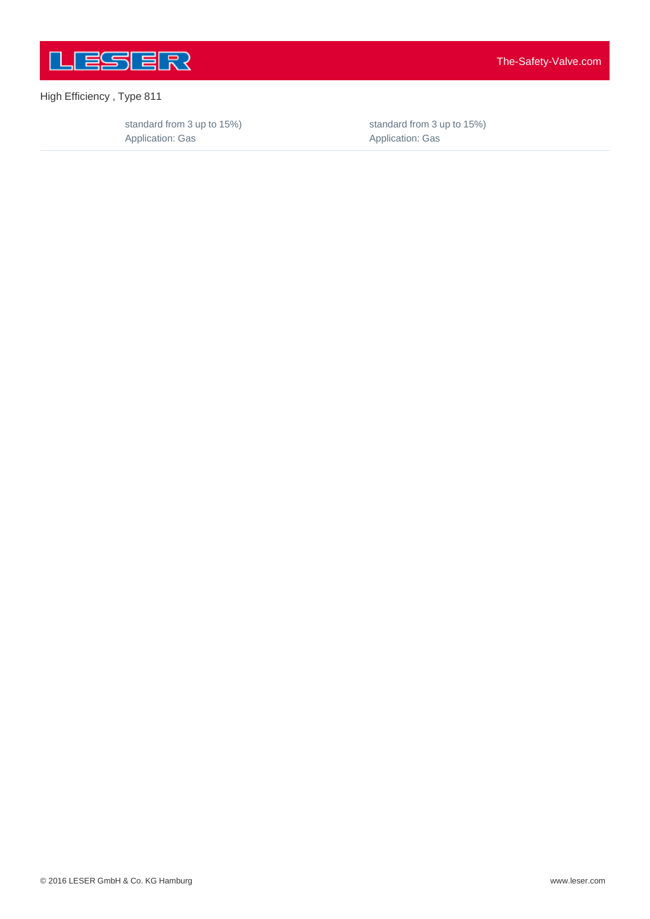

standard from 3 up to 15%) Application: Gas

standard from 3 up to 15%) Application: Gas